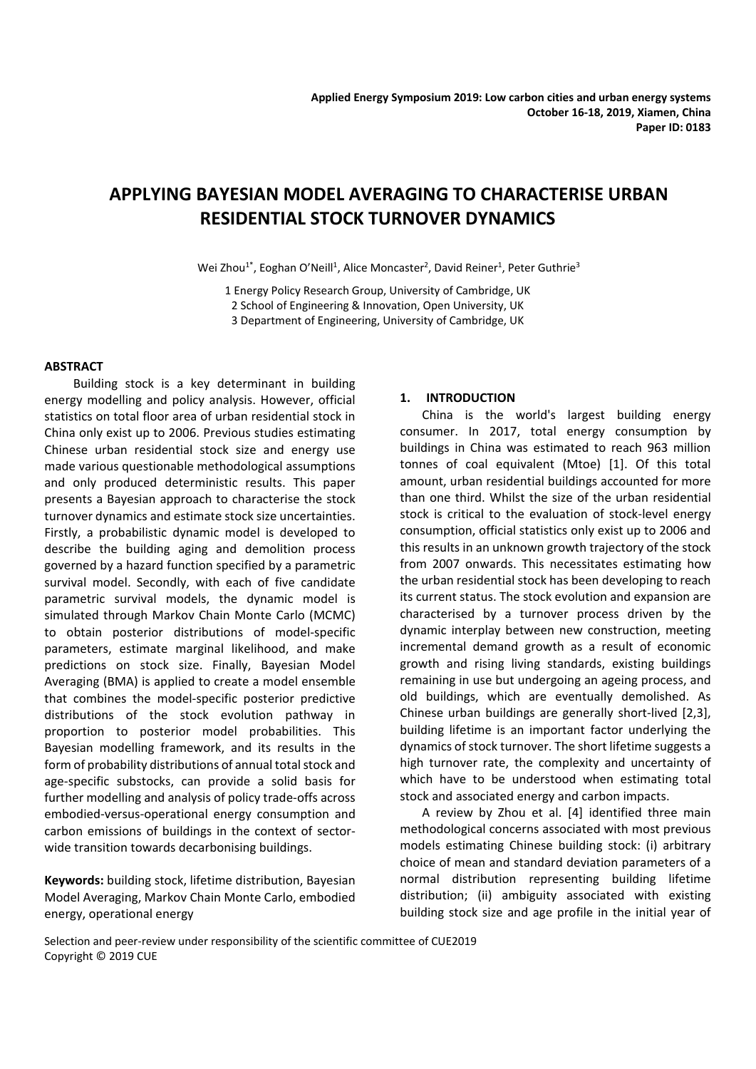# **APPLYING BAYESIAN MODEL AVERAGING TO CHARACTERISE URBAN RESIDENTIAL STOCK TURNOVER DYNAMICS**

Wei Zhou<sup>1\*</sup>, Eoghan O'Neill<sup>1</sup>, Alice Moncaster<sup>2</sup>, David Reiner<sup>1</sup>, Peter Guthrie<sup>3</sup>

1 Energy Policy Research Group, University of Cambridge, UK 2 School of Engineering & Innovation, Open University, UK 3 Department of Engineering, University of Cambridge, UK

## **ABSTRACT**

 Building stock is a key determinant in building energy modelling and policy analysis. However, official statistics on total floor area of urban residential stock in China only exist up to 2006. Previous studies estimating Chinese urban residential stock size and energy use made various questionable methodological assumptions and only produced deterministic results. This paper presents a Bayesian approach to characterise the stock turnover dynamics and estimate stock size uncertainties. Firstly, a probabilistic dynamic model is developed to describe the building aging and demolition process governed by a hazard function specified by a parametric survival model. Secondly, with each of five candidate parametric survival models, the dynamic model is simulated through Markov Chain Monte Carlo (MCMC) to obtain posterior distributions of model-specific parameters, estimate marginal likelihood, and make predictions on stock size. Finally, Bayesian Model Averaging (BMA) is applied to create a model ensemble that combines the model-specific posterior predictive distributions of the stock evolution pathway in proportion to posterior model probabilities. This Bayesian modelling framework, and its results in the form of probability distributions of annual total stock and age-specific substocks, can provide a solid basis for further modelling and analysis of policy trade-offs across embodied-versus-operational energy consumption and carbon emissions of buildings in the context of sectorwide transition towards decarbonising buildings.

**Keywords:** building stock, lifetime distribution, Bayesian Model Averaging, Markov Chain Monte Carlo, embodied energy, operational energy

## **1. INTRODUCTION**

China is the world's largest building energy consumer. In 2017, total energy consumption by buildings in China was estimated to reach 963 million tonnes of coal equivalent (Mtoe) [1]. Of this total amount, urban residential buildings accounted for more than one third. Whilst the size of the urban residential stock is critical to the evaluation of stock-level energy consumption, official statistics only exist up to 2006 and this results in an unknown growth trajectory of the stock from 2007 onwards. This necessitates estimating how the urban residential stock has been developing to reach its current status. The stock evolution and expansion are characterised by a turnover process driven by the dynamic interplay between new construction, meeting incremental demand growth as a result of economic growth and rising living standards, existing buildings remaining in use but undergoing an ageing process, and old buildings, which are eventually demolished. As Chinese urban buildings are generally short-lived [2,3], building lifetime is an important factor underlying the dynamics of stock turnover. The short lifetime suggests a high turnover rate, the complexity and uncertainty of which have to be understood when estimating total stock and associated energy and carbon impacts.

A review by Zhou et al. [4] identified three main methodological concerns associated with most previous models estimating Chinese building stock: (i) arbitrary choice of mean and standard deviation parameters of a normal distribution representing building lifetime distribution; (ii) ambiguity associated with existing building stock size and age profile in the initial year of

Selection and peer-review under responsibility of the scientific committee of CUE2019 Copyright © 2019 CUE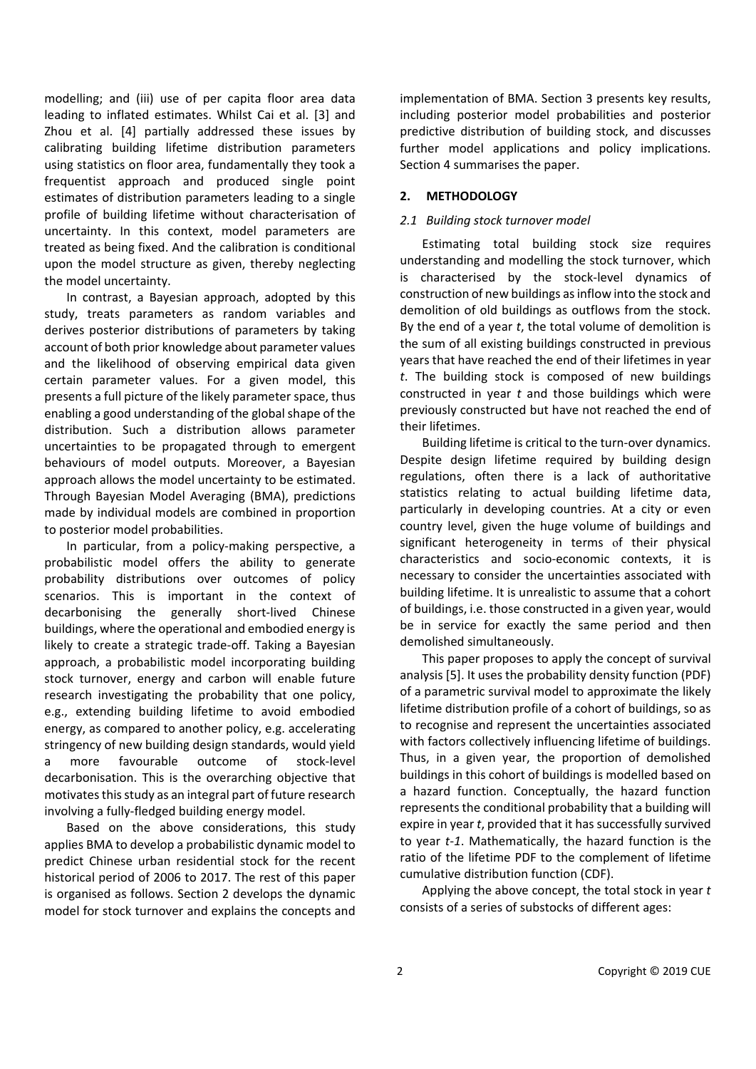modelling; and (iii) use of per capita floor area data leading to inflated estimates. Whilst Cai et al. [3] and Zhou et al. [4] partially addressed these issues by calibrating building lifetime distribution parameters using statistics on floor area, fundamentally they took a frequentist approach and produced single point estimates of distribution parameters leading to a single profile of building lifetime without characterisation of uncertainty. In this context, model parameters are treated as being fixed. And the calibration is conditional upon the model structure as given, thereby neglecting the model uncertainty.

In contrast, a Bayesian approach, adopted by this study, treats parameters as random variables and derives posterior distributions of parameters by taking account of both prior knowledge about parameter values and the likelihood of observing empirical data given certain parameter values. For a given model, this presents a full picture of the likely parameter space, thus enabling a good understanding of the global shape of the distribution. Such a distribution allows parameter uncertainties to be propagated through to emergent behaviours of model outputs. Moreover, a Bayesian approach allows the model uncertainty to be estimated. Through Bayesian Model Averaging (BMA), predictions made by individual models are combined in proportion to posterior model probabilities.

In particular, from a policy-making perspective, a probabilistic model offers the ability to generate probability distributions over outcomes of policy scenarios. This is important in the context of decarbonising the generally short-lived Chinese buildings, where the operational and embodied energy is likely to create a strategic trade-off. Taking a Bayesian approach, a probabilistic model incorporating building stock turnover, energy and carbon will enable future research investigating the probability that one policy, e.g., extending building lifetime to avoid embodied energy, as compared to another policy, e.g. accelerating stringency of new building design standards, would yield a more favourable outcome of stock-level decarbonisation. This is the overarching objective that motivates this study as an integral part of future research involving a fully-fledged building energy model.

Based on the above considerations, this study applies BMA to develop a probabilistic dynamic model to predict Chinese urban residential stock for the recent historical period of 2006 to 2017. The rest of this paper is organised as follows. Section 2 develops the dynamic model for stock turnover and explains the concepts and

implementation of BMA. Section 3 presents key results, including posterior model probabilities and posterior predictive distribution of building stock, and discusses further model applications and policy implications. Section 4 summarises the paper.

# **2. METHODOLOGY**

# *2.1 Building stock turnover model*

Estimating total building stock size requires understanding and modelling the stock turnover, which is characterised by the stock-level dynamics of construction of new buildings as inflow into the stock and demolition of old buildings as outflows from the stock. By the end of a year *t*, the total volume of demolition is the sum of all existing buildings constructed in previous years that have reached the end of their lifetimes in year *t*. The building stock is composed of new buildings constructed in year *t* and those buildings which were previously constructed but have not reached the end of their lifetimes.

Building lifetime is critical to the turn-over dynamics. Despite design lifetime required by building design regulations, often there is a lack of authoritative statistics relating to actual building lifetime data, particularly in developing countries. At a city or even country level, given the huge volume of buildings and significant heterogeneity in terms of their physical characteristics and socio-economic contexts, it is necessary to consider the uncertainties associated with building lifetime. It is unrealistic to assume that a cohort of buildings, i.e. those constructed in a given year, would be in service for exactly the same period and then demolished simultaneously.

This paper proposes to apply the concept of survival analysis [5]. It uses the probability density function (PDF) of a parametric survival model to approximate the likely lifetime distribution profile of a cohort of buildings, so as to recognise and represent the uncertainties associated with factors collectively influencing lifetime of buildings. Thus, in a given year, the proportion of demolished buildings in this cohort of buildings is modelled based on a hazard function. Conceptually, the hazard function represents the conditional probability that a building will expire in year *t*, provided that it has successfully survived to year *t-1*. Mathematically, the hazard function is the ratio of the lifetime PDF to the complement of lifetime cumulative distribution function (CDF).

Applying the above concept, the total stock in year *t* consists of a series of substocks of different ages: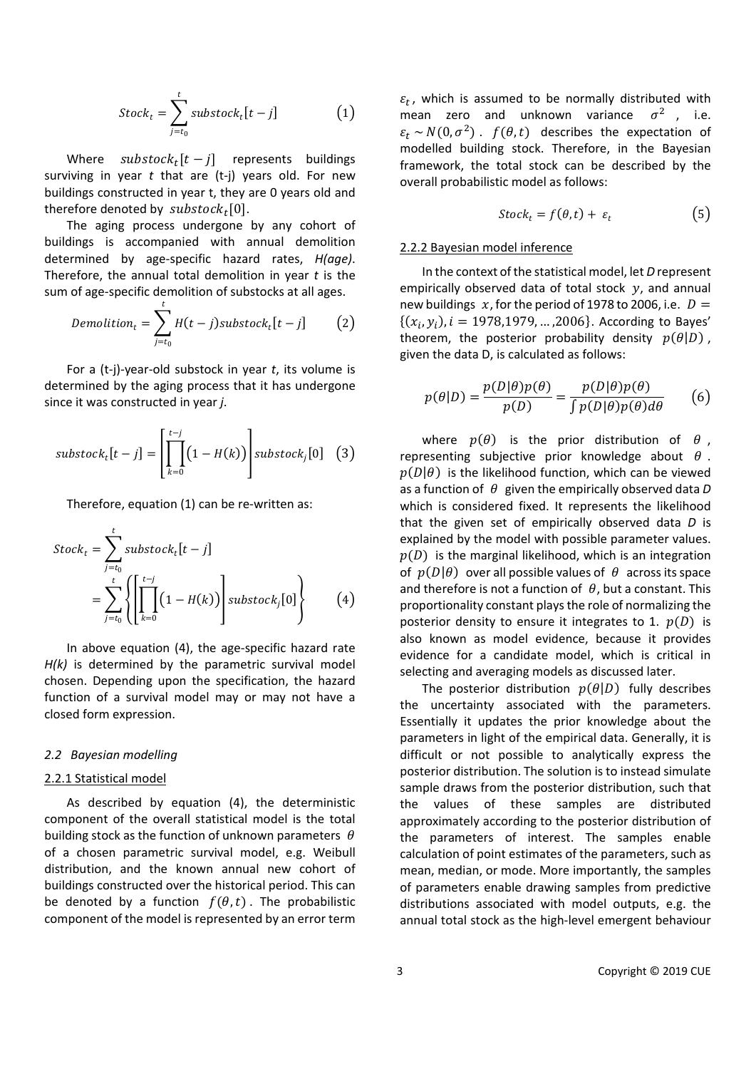$$
Stock_t = \sum_{j=t_0}^{t} substock_t[t-j]
$$
 (1)

Where  $\textit{substock}_t[t - j]$  represents buildings surviving in year *t* that are (t-j) years old. For new buildings constructed in year t, they are 0 years old and therefore denoted by  $substock<sub>t</sub>[0]$ .

The aging process undergone by any cohort of buildings is accompanied with annual demolition determined by age-specific hazard rates, *H(age)*. Therefore, the annual total demolition in year *t* is the sum of age-specific demolition of substocks at all ages.

$$
Demolition_t = \sum_{j=t_0}^t H(t-j) \text{substock}_t[t-j] \qquad (2)
$$

For a (t-j)-year-old substock in year *t*, its volume is determined by the aging process that it has undergone since it was constructed in year *j*.

$$
substock_t[t-j] = \left[\prod_{k=0}^{t-j} (1 - H(k))\right] substock_j[0] \quad (3)
$$

Therefore, equation (1) can be re-written as:

$$
Stockt = \sum_{j=t_0}^{t} subsetock_t[t-j]
$$
  
= 
$$
\sum_{j=t_0}^{t} \left\{ \left[ \prod_{k=0}^{t-j} (1 - H(k)) \right] subsetock_j[0] \right\}
$$
 (4)

In above equation (4), the age-specific hazard rate *H(k)* is determined by the parametric survival model chosen. Depending upon the specification, the hazard function of a survival model may or may not have a closed form expression.

#### *2.2 Bayesian modelling*

## 2.2.1 Statistical model

As described by equation (4), the deterministic component of the overall statistical model is the total building stock as the function of unknown parameters  $\theta$ of a chosen parametric survival model, e.g. Weibull distribution, and the known annual new cohort of buildings constructed over the historical period. This can be denoted by a function  $f(\theta, t)$ . The probabilistic component of the model is represented by an error term

 $\varepsilon_t$ , which is assumed to be normally distributed with mean zero and unknown variance  $\sigma^2$ , i.e.  $\varepsilon_t \sim N(0, \sigma^2)$ .  $f(\theta, t)$  describes the expectation of modelled building stock. Therefore, in the Bayesian framework, the total stock can be described by the overall probabilistic model as follows:

$$
Stock_t = f(\theta, t) + \varepsilon_t \tag{5}
$$

## 2.2.2 Bayesian model inference

In the context of the statistical model, let *D* represent empirically observed data of total stock  $v$ , and annual new buildings  $x$ , for the period of 1978 to 2006, i.e.  $D =$  $\{(x_i, y_i), i = 1978, 1979, \dots, 2006\}$ . According to Bayes' theorem, the posterior probability density  $p(\theta|D)$ , given the data D, is calculated as follows:

$$
p(\theta|D) = \frac{p(D|\theta)p(\theta)}{p(D)} = \frac{p(D|\theta)p(\theta)}{\int p(D|\theta)p(\theta)d\theta}
$$
 (6)

where  $p(\theta)$  is the prior distribution of  $\theta$ , representing subjective prior knowledge about  $\theta$ .  $p(D|\theta)$  is the likelihood function, which can be viewed as a function of  $\theta$  given the empirically observed data *D* which is considered fixed. It represents the likelihood that the given set of empirically observed data *D* is explained by the model with possible parameter values.  $p(D)$  is the marginal likelihood, which is an integration of  $p(D|\theta)$  over all possible values of  $\theta$  across its space and therefore is not a function of  $\theta$ , but a constant. This proportionality constant plays the role of normalizing the posterior density to ensure it integrates to 1.  $p(D)$  is also known as model evidence, because it provides evidence for a candidate model, which is critical in selecting and averaging models as discussed later.

The posterior distribution  $p(\theta|D)$  fully describes the uncertainty associated with the parameters. Essentially it updates the prior knowledge about the parameters in light of the empirical data. Generally, it is difficult or not possible to analytically express the posterior distribution. The solution is to instead simulate sample draws from the posterior distribution, such that the values of these samples are distributed approximately according to the posterior distribution of the parameters of interest. The samples enable calculation of point estimates of the parameters, such as mean, median, or mode. More importantly, the samples of parameters enable drawing samples from predictive distributions associated with model outputs, e.g. the annual total stock as the high-level emergent behaviour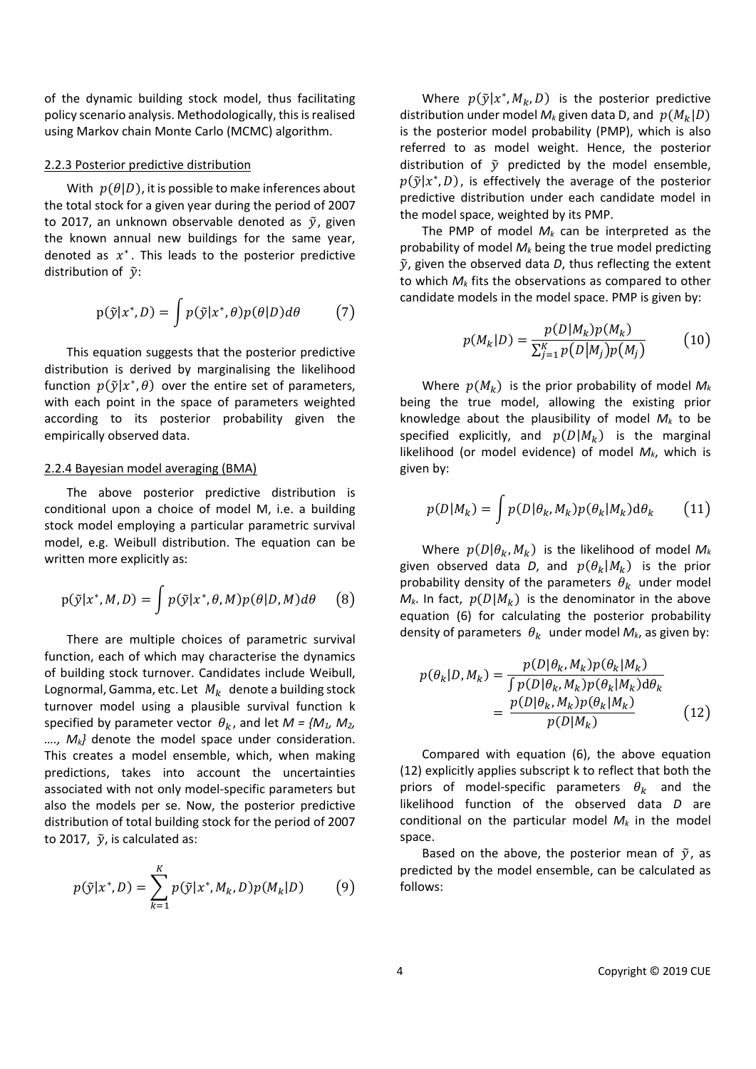of the dynamic building stock model, thus facilitating policy scenario analysis. Methodologically, this is realised using Markov chain Monte Carlo (MCMC) algorithm.

#### 2.2.3 Posterior predictive distribution

With  $p(\theta|D)$ , it is possible to make inferences about the total stock for a given year during the period of 2007 to 2017, an unknown observable denoted as  $\tilde{y}$ , given the known annual new buildings for the same year, denoted as  $x^*$ . This leads to the posterior predictive distribution of  $\tilde{v}$ :

$$
p(\tilde{y}|x^*,D) = \int p(\tilde{y}|x^*,\theta)p(\theta|D)d\theta \qquad (7)
$$

This equation suggests that the posterior predictive distribution is derived by marginalising the likelihood function  $p(\tilde{y}|x^*, \theta)$  over the entire set of parameters, with each point in the space of parameters weighted according to its posterior probability given the empirically observed data.

#### 2.2.4 Bayesian model averaging (BMA)

The above posterior predictive distribution is conditional upon a choice of model M, i.e. a building stock model employing a particular parametric survival model, e.g. Weibull distribution. The equation can be written more explicitly as:

$$
p(\tilde{y}|x^*,M,D) = \int p(\tilde{y}|x^*,\theta,M)p(\theta|D,M)d\theta \qquad (8)
$$

There are multiple choices of parametric survival function, each of which may characterise the dynamics of building stock turnover. Candidates include Weibull, Lognormal, Gamma, etc. Let  $M_k$  denote a building stock turnover model using a plausible survival function k specified by parameter vector  $\theta_k$ , and let  $M = \{M_1, M_2,$ *…., Mk}* denote the model space under consideration. This creates a model ensemble, which, when making predictions, takes into account the uncertainties associated with not only model-specific parameters but also the models per se. Now, the posterior predictive distribution of total building stock for the period of 2007 to 2017,  $\tilde{y}$ , is calculated as:

$$
p(\tilde{y}|x^*,D) = \sum_{k=1}^K p(\tilde{y}|x^*,M_k,D)p(M_k|D)
$$
 (9)

Where  $p(\tilde{y}|x^*, M_k, D)$  is the posterior predictive distribution under model  $M_k$  given data D, and  $p(M_k|D)$ is the posterior model probability (PMP), which is also referred to as model weight. Hence, the posterior distribution of  $\tilde{y}$  predicted by the model ensemble,  $p(\tilde{y}|x^*, D)$ , is effectively the average of the posterior predictive distribution under each candidate model in the model space, weighted by its PMP.

The PMP of model *Mk* can be interpreted as the probability of model  $M_k$  being the true model predicting  $\tilde{y}$ , given the observed data  $D$ , thus reflecting the extent to which *Mk* fits the observations as compared to other candidate models in the model space. PMP is given by:

$$
p(M_k|D) = \frac{p(D|M_k)p(M_k)}{\sum_{j=1}^{K} p(D|M_j)p(M_j)}
$$
(10)

Where  $p(M_k)$  is the prior probability of model  $M_k$ being the true model, allowing the existing prior knowledge about the plausibility of model  $M_k$  to be specified explicitly, and  $p(D|M_k)$  is the marginal likelihood (or model evidence) of model *Mk*, which is given by:

$$
p(D|M_k) = \int p(D|\theta_k, M_k) p(\theta_k|M_k) d\theta_k \qquad (11)
$$

Where  $p(D|\theta_k, M_k)$  is the likelihood of model  $M_k$ given observed data *D*, and  $p(\theta_k|M_k)$  is the prior probability density of the parameters  $\theta_k$  under model  $M_k$ . In fact,  $p(D|M_k)$  is the denominator in the above equation (6) for calculating the posterior probability density of parameters  $\theta_k$  under model  $M_k$ , as given by:

$$
p(\theta_k|D, M_k) = \frac{p(D|\theta_k, M_k)p(\theta_k|M_k)}{\int p(D|\theta_k, M_k)p(\theta_k|M_k)d\theta_k}
$$

$$
= \frac{p(D|\theta_k, M_k)p(\theta_k|M_k)}{p(D|M_k)} \tag{12}
$$

Compared with equation (6), the above equation (12) explicitly applies subscript k to reflect that both the priors of model-specific parameters  $\theta_k$  and the likelihood function of the observed data *D* are conditional on the particular model  $M_k$  in the model space.

Based on the above, the posterior mean of  $\tilde{y}$ , as predicted by the model ensemble, can be calculated as follows: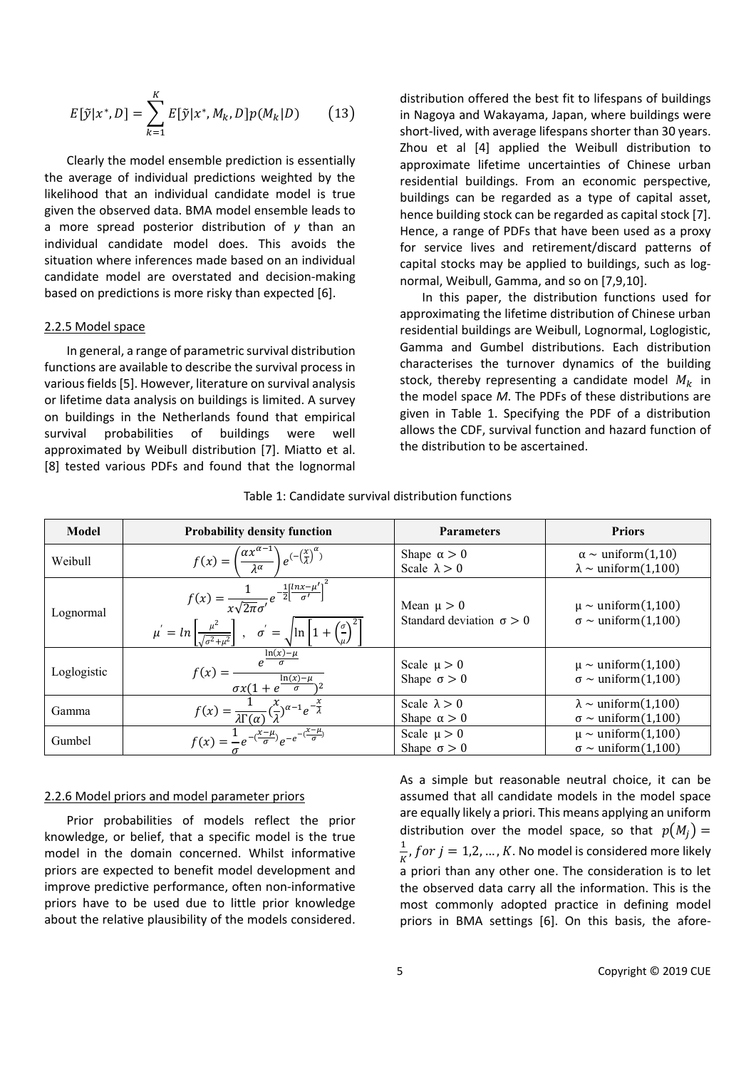$$
E[\tilde{y}|x^*,D] = \sum_{k=1}^{K} E[\tilde{y}|x^*,M_k,D]p(M_k|D)
$$
 (13)

Clearly the model ensemble prediction is essentially the average of individual predictions weighted by the likelihood that an individual candidate model is true given the observed data. BMA model ensemble leads to a more spread posterior distribution of *y* than an individual candidate model does. This avoids the situation where inferences made based on an individual candidate model are overstated and decision-making based on predictions is more risky than expected [6].

#### 2.2.5 Model space

In general, a range of parametric survival distribution functions are available to describe the survival process in various fields [5]. However, literature on survival analysis or lifetime data analysis on buildings is limited. A survey on buildings in the Netherlands found that empirical survival probabilities of buildings were well approximated by Weibull distribution [7]. Miatto et al. [8] tested various PDFs and found that the lognormal

distribution offered the best fit to lifespans of buildings in Nagoya and Wakayama, Japan, where buildings were short-lived, with average lifespans shorter than 30 years. Zhou et al [4] applied the Weibull distribution to approximate lifetime uncertainties of Chinese urban residential buildings. From an economic perspective, buildings can be regarded as a type of capital asset, hence building stock can be regarded as capital stock [7]. Hence, a range of PDFs that have been used as a proxy for service lives and retirement/discard patterns of capital stocks may be applied to buildings, such as lognormal, Weibull, Gamma, and so on [7,9,10].

In this paper, the distribution functions used for approximating the lifetime distribution of Chinese urban residential buildings are Weibull, Lognormal, Loglogistic, Gamma and Gumbel distributions. Each distribution characterises the turnover dynamics of the building stock, thereby representing a candidate model  $M_k$  in the model space *M*. The PDFs of these distributions are given in Table 1. Specifying the PDF of a distribution allows the CDF, survival function and hazard function of the distribution to be ascertained.

| Model       | <b>Probability density function</b>                                                                                                                                                                                                                | <b>Parameters</b>                                 | <b>Priors</b>                                                           |
|-------------|----------------------------------------------------------------------------------------------------------------------------------------------------------------------------------------------------------------------------------------------------|---------------------------------------------------|-------------------------------------------------------------------------|
| Weibull     | $f(x) = \left(\frac{\alpha x^{\alpha-1}}{\lambda^{\alpha}}\right) e^{-\left(\frac{x}{\lambda}\right)^{\alpha}}$                                                                                                                                    | Shape $\alpha > 0$<br>Scale $\lambda > 0$         | $\alpha \sim \text{uniform}(1,10)$<br>$\lambda \sim$ uniform(1,100)     |
| Lognormal   | $f(x) = \frac{1}{x\sqrt{2\pi}\sigma'}e^{-\frac{1}{2} \left[\frac{lnx-\mu'}{\sigma'}\right]^2}$<br>$\mu = \ln \left[ \frac{\mu^2}{\sqrt{\sigma^2 + \mu^2}} \right]$ , $\sigma' = \sqrt{\ln \left[ 1 + \left( \frac{\sigma}{\mu} \right)^2 \right]}$ | Mean $\mu > 0$<br>Standard deviation $\sigma > 0$ | $\mu \sim$ uniform(1,100)<br>$\sigma \sim \text{uniform}(1,100)$        |
| Loglogistic | $f(x) = \frac{e^{\frac{\ln(x) - \mu}{\sigma}}}{\frac{\ln(x) - \mu}{\sigma}}$<br>$\sigma x(1+e^{\frac{\text{Im}(x)}{x}})$                                                                                                                           | Scale $\mu > 0$<br>Shape $\sigma > 0$             | $\mu \sim \text{uniform}(1,100)$<br>$\sigma \sim \text{uniform}(1,100)$ |
| Gamma       | $f(x) = \frac{1}{\lambda \Gamma(\alpha)} \left(\frac{x}{\lambda}\right)^{\alpha-1} e^{-\frac{x}{\lambda}}$                                                                                                                                         | Scale $\lambda > 0$<br>Shape $\alpha > 0$         | $\lambda \sim$ uniform(1,100)<br>$\sigma \sim \text{uniform}(1,100)$    |
| Gumbel      | $f(x) = \frac{1}{\sigma} e^{-\left(\frac{x-\mu}{\sigma}\right)} e^{-e^{-\left(\frac{x-\mu}{\sigma}\right)}}$                                                                                                                                       | Scale $\mu > 0$<br>Shape $\sigma > 0$             | $\mu \sim \text{uniform}(1,100)$<br>$\sigma \sim \text{uniform}(1,100)$ |

## Table 1: Candidate survival distribution functions

#### 2.2.6 Model priors and model parameter priors

Prior probabilities of models reflect the prior knowledge, or belief, that a specific model is the true model in the domain concerned. Whilst informative priors are expected to benefit model development and improve predictive performance, often non-informative priors have to be used due to little prior knowledge about the relative plausibility of the models considered. As a simple but reasonable neutral choice, it can be assumed that all candidate models in the model space are equally likely a priori. This means applying an uniform distribution over the model space, so that  $p(M_i) =$  $\frac{1}{K}$ , f or  $j = 1, 2, ..., K$ . No model is considered more likely a priori than any other one. The consideration is to let the observed data carry all the information. This is the most commonly adopted practice in defining model priors in BMA settings [6]. On this basis, the afore-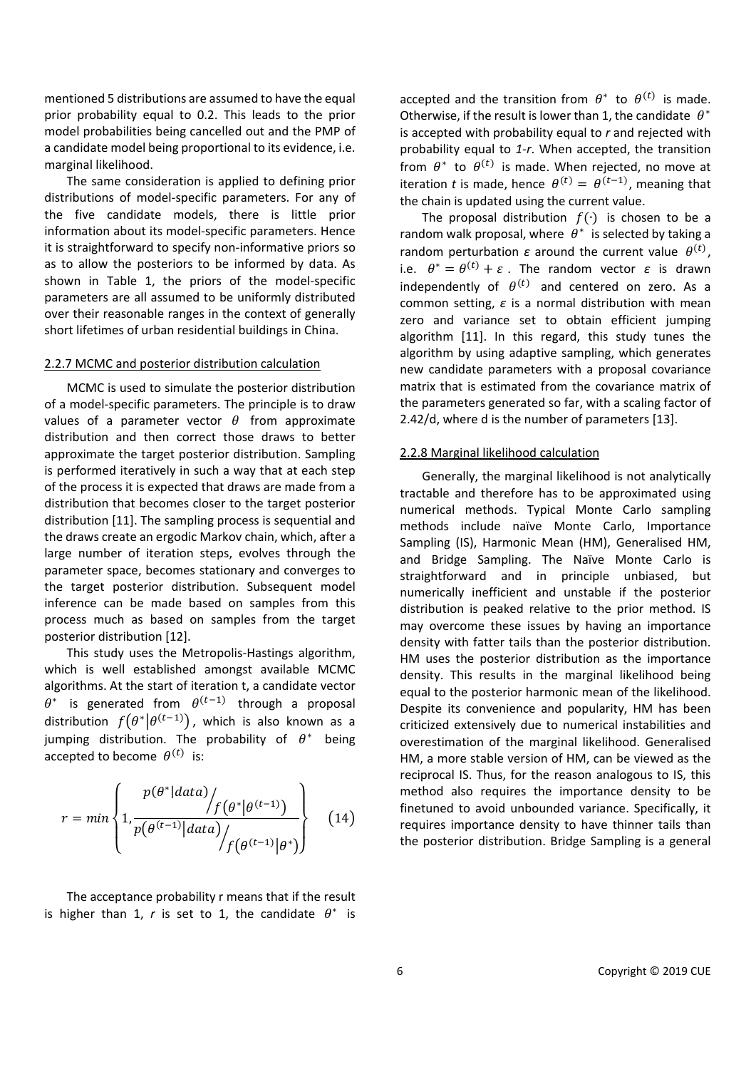mentioned 5 distributions are assumed to have the equal prior probability equal to 0.2. This leads to the prior model probabilities being cancelled out and the PMP of a candidate model being proportional to its evidence, i.e. marginal likelihood.

The same consideration is applied to defining prior distributions of model-specific parameters. For any of the five candidate models, there is little prior information about its model-specific parameters. Hence it is straightforward to specify non-informative priors so as to allow the posteriors to be informed by data. As shown in Table 1, the priors of the model-specific parameters are all assumed to be uniformly distributed over their reasonable ranges in the context of generally short lifetimes of urban residential buildings in China.

#### 2.2.7 MCMC and posterior distribution calculation

MCMC is used to simulate the posterior distribution of a model-specific parameters. The principle is to draw values of a parameter vector  $\theta$  from approximate distribution and then correct those draws to better approximate the target posterior distribution. Sampling is performed iteratively in such a way that at each step of the process it is expected that draws are made from a distribution that becomes closer to the target posterior distribution [11]. The sampling process is sequential and the draws create an ergodic Markov chain, which, after a large number of iteration steps, evolves through the parameter space, becomes stationary and converges to the target posterior distribution. Subsequent model inference can be made based on samples from this process much as based on samples from the target posterior distribution [12].

This study uses the Metropolis-Hastings algorithm, which is well established amongst available MCMC algorithms. At the start of iteration t, a candidate vector  $\theta^*$  is generated from  $\theta^{(t-1)}$  through a proposal distribution  $f(\theta^*|\theta^{(t-1)})$ , which is also known as a jumping distribution. The probability of  $\theta^*$  being accepted to become  $\theta^{(t)}$  is:

$$
r = min\left\{1, \frac{p(\theta^*|data)}{p(\theta^{(t-1)}|data)} / \frac{f(\theta^*|\theta^{(t-1)})}{f(\theta^{(t-1)}|\theta^*)}\right\}
$$
(14)

The acceptance probability r means that if the result is higher than 1, *r* is set to 1, the candidate  $\theta^*$  is

accepted and the transition from  $\theta^*$  to  $\theta^{(t)}$  is made. Otherwise, if the result is lower than 1, the candidate  $\theta^*$ is accepted with probability equal to *r* and rejected with probability equal to *1-r*. When accepted, the transition from  $\theta^*$  to  $\theta^{(t)}$  is made. When rejected, no move at iteration *t* is made, hence  $\theta^{(t)} = \theta^{(t-1)}$ , meaning that the chain is updated using the current value.

The proposal distribution  $f(·)$  is chosen to be a random walk proposal, where  $\theta^*$  is selected by taking a random perturbation  $\varepsilon$  around the current value  $\theta^{(t)}$ , i.e.  $\theta^* = \theta^{(t)} + \varepsilon$ . The random vector  $\varepsilon$  is drawn independently of  $\theta^{(t)}$  and centered on zero. As a common setting, *ε* is a normal distribution with mean zero and variance set to obtain efficient jumping algorithm [11]. In this regard, this study tunes the algorithm by using adaptive sampling, which generates new candidate parameters with a proposal covariance matrix that is estimated from the covariance matrix of the parameters generated so far, with a scaling factor of 2.42/d, where d is the number of parameters [13].

# 2.2.8 Marginal likelihood calculation

Generally, the marginal likelihood is not analytically tractable and therefore has to be approximated using numerical methods. Typical Monte Carlo sampling methods include naïve Monte Carlo, Importance Sampling (IS), Harmonic Mean (HM), Generalised HM, and Bridge Sampling. The Naïve Monte Carlo is straightforward and in principle unbiased, but numerically inefficient and unstable if the posterior distribution is peaked relative to the prior method. IS may overcome these issues by having an importance density with fatter tails than the posterior distribution. HM uses the posterior distribution as the importance density. This results in the marginal likelihood being equal to the posterior harmonic mean of the likelihood. Despite its convenience and popularity, HM has been criticized extensively due to numerical instabilities and overestimation of the marginal likelihood. Generalised HM, a more stable version of HM, can be viewed as the reciprocal IS. Thus, for the reason analogous to IS, this method also requires the importance density to be finetuned to avoid unbounded variance. Specifically, it requires importance density to have thinner tails than the posterior distribution. Bridge Sampling is a general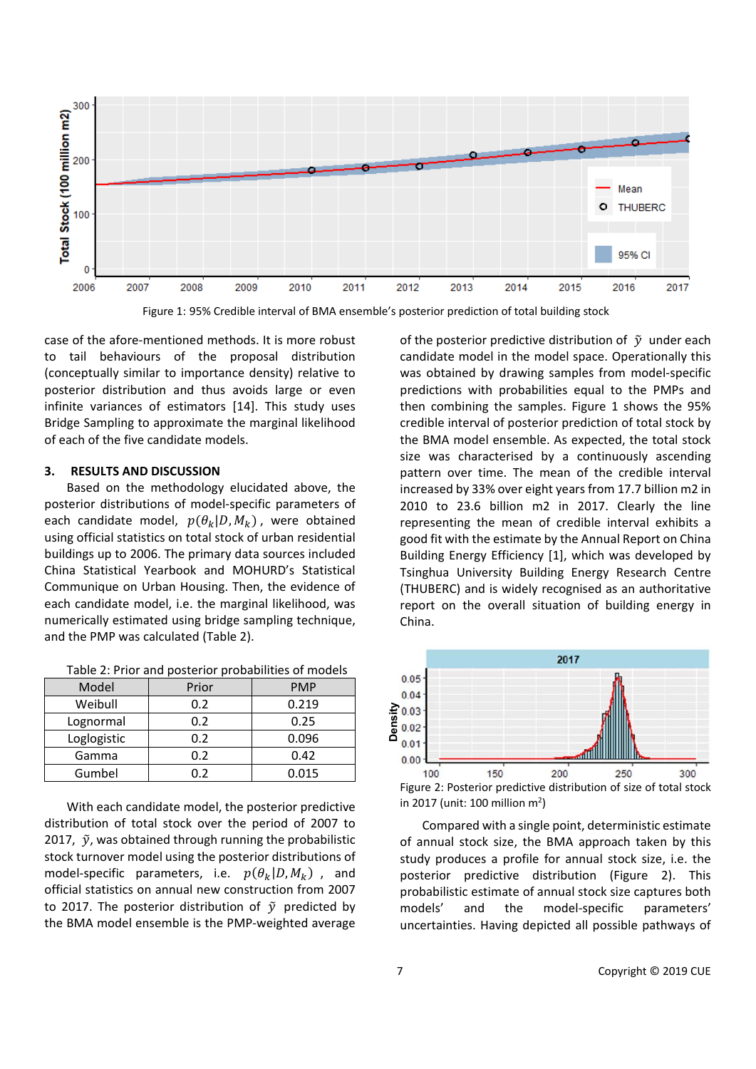

Figure 1: 95% Credible interval of BMA ensemble's posterior prediction of total building stock

case of the afore-mentioned methods. It is more robust to tail behaviours of the proposal distribution (conceptually similar to importance density) relative to posterior distribution and thus avoids large or even infinite variances of estimators [14]. This study uses Bridge Sampling to approximate the marginal likelihood of each of the five candidate models.

## **3. RESULTS AND DISCUSSION**

Based on the methodology elucidated above, the posterior distributions of model-specific parameters of each candidate model,  $p(\theta_k|D, M_k)$ , were obtained using official statistics on total stock of urban residential buildings up to 2006. The primary data sources included China Statistical Yearbook and MOHURD's Statistical Communique on Urban Housing. Then, the evidence of each candidate model, i.e. the marginal likelihood, was numerically estimated using bridge sampling technique, and the PMP was calculated (Table 2).

| Table 2: Prior and posterior probabilities of models |  |  |  |
|------------------------------------------------------|--|--|--|
|------------------------------------------------------|--|--|--|

| Model       | Prior | <b>PMP</b> |
|-------------|-------|------------|
| Weibull     | 0.2   | 0.219      |
| Lognormal   | 0.2   | 0.25       |
| Loglogistic | 0.2   | 0.096      |
| Gamma       | 0.2   | 0.42       |
| Gumbel      | በ 2   | 0.015      |

With each candidate model, the posterior predictive distribution of total stock over the period of 2007 to 2017,  $\tilde{y}$ , was obtained through running the probabilistic stock turnover model using the posterior distributions of model-specific parameters, i.e.  $p(\theta_k|D, M_k)$ , and official statistics on annual new construction from 2007 to 2017. The posterior distribution of  $\tilde{y}$  predicted by the BMA model ensemble is the PMP-weighted average

of the posterior predictive distribution of  $\tilde{y}$  under each candidate model in the model space. Operationally this was obtained by drawing samples from model-specific predictions with probabilities equal to the PMPs and then combining the samples. Figure 1 shows the 95% credible interval of posterior prediction of total stock by the BMA model ensemble. As expected, the total stock size was characterised by a continuously ascending pattern over time. The mean of the credible interval increased by 33% over eight years from 17.7 billion m2 in 2010 to 23.6 billion m2 in 2017. Clearly the line representing the mean of credible interval exhibits a good fit with the estimate by the Annual Report on China Building Energy Efficiency [1], which was developed by Tsinghua University Building Energy Research Centre (THUBERC) and is widely recognised as an authoritative report on the overall situation of building energy in China.



Figure 2: Posterior predictive distribution of size of total stock in 2017 (unit: 100 million  $m^2$ )

Compared with a single point, deterministic estimate of annual stock size, the BMA approach taken by this study produces a profile for annual stock size, i.e. the posterior predictive distribution (Figure 2). This probabilistic estimate of annual stock size captures both models' and the model-specific parameters' uncertainties. Having depicted all possible pathways of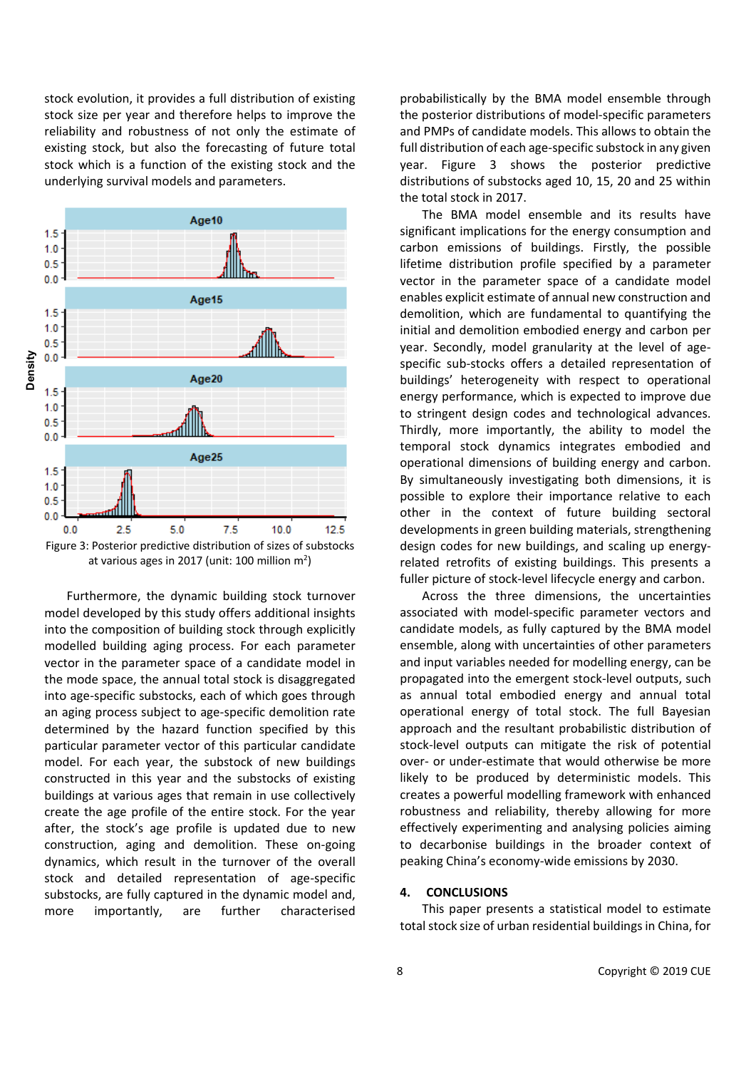stock evolution, it provides a full distribution of existing stock size per year and therefore helps to improve the reliability and robustness of not only the estimate of existing stock, but also the forecasting of future total stock which is a function of the existing stock and the underlying survival models and parameters.





Furthermore, the dynamic building stock turnover model developed by this study offers additional insights into the composition of building stock through explicitly modelled building aging process. For each parameter vector in the parameter space of a candidate model in the mode space, the annual total stock is disaggregated into age-specific substocks, each of which goes through an aging process subject to age-specific demolition rate determined by the hazard function specified by this particular parameter vector of this particular candidate model. For each year, the substock of new buildings constructed in this year and the substocks of existing buildings at various ages that remain in use collectively create the age profile of the entire stock. For the year after, the stock's age profile is updated due to new construction, aging and demolition. These on-going dynamics, which result in the turnover of the overall stock and detailed representation of age-specific substocks, are fully captured in the dynamic model and, more importantly, are further characterised

probabilistically by the BMA model ensemble through the posterior distributions of model-specific parameters and PMPs of candidate models. This allows to obtain the full distribution of each age-specific substock in any given year. Figure 3 shows the posterior predictive distributions of substocks aged 10, 15, 20 and 25 within the total stock in 2017.

The BMA model ensemble and its results have significant implications for the energy consumption and carbon emissions of buildings. Firstly, the possible lifetime distribution profile specified by a parameter vector in the parameter space of a candidate model enables explicit estimate of annual new construction and demolition, which are fundamental to quantifying the initial and demolition embodied energy and carbon per year. Secondly, model granularity at the level of agespecific sub-stocks offers a detailed representation of buildings' heterogeneity with respect to operational energy performance, which is expected to improve due to stringent design codes and technological advances. Thirdly, more importantly, the ability to model the temporal stock dynamics integrates embodied and operational dimensions of building energy and carbon. By simultaneously investigating both dimensions, it is possible to explore their importance relative to each other in the context of future building sectoral developments in green building materials, strengthening design codes for new buildings, and scaling up energyrelated retrofits of existing buildings. This presents a fuller picture of stock-level lifecycle energy and carbon.

Across the three dimensions, the uncertainties associated with model-specific parameter vectors and candidate models, as fully captured by the BMA model ensemble, along with uncertainties of other parameters and input variables needed for modelling energy, can be propagated into the emergent stock-level outputs, such as annual total embodied energy and annual total operational energy of total stock. The full Bayesian approach and the resultant probabilistic distribution of stock-level outputs can mitigate the risk of potential over- or under-estimate that would otherwise be more likely to be produced by deterministic models. This creates a powerful modelling framework with enhanced robustness and reliability, thereby allowing for more effectively experimenting and analysing policies aiming to decarbonise buildings in the broader context of peaking China's economy-wide emissions by 2030.

#### **4. CONCLUSIONS**

This paper presents a statistical model to estimate total stock size of urban residential buildings in China, for